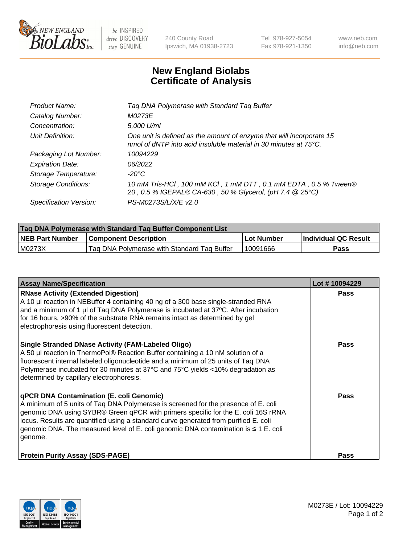

 $be$  INSPIRED drive DISCOVERY stay GENUINE

240 County Road Ipswich, MA 01938-2723 Tel 978-927-5054 Fax 978-921-1350 www.neb.com info@neb.com

## **New England Biolabs Certificate of Analysis**

| Product Name:              | Tag DNA Polymerase with Standard Tag Buffer                                                                                              |
|----------------------------|------------------------------------------------------------------------------------------------------------------------------------------|
| Catalog Number:            | M0273E                                                                                                                                   |
| Concentration:             | 5,000 U/ml                                                                                                                               |
| Unit Definition:           | One unit is defined as the amount of enzyme that will incorporate 15<br>nmol of dNTP into acid insoluble material in 30 minutes at 75°C. |
| Packaging Lot Number:      | 10094229                                                                                                                                 |
| <b>Expiration Date:</b>    | 06/2022                                                                                                                                  |
| Storage Temperature:       | $-20^{\circ}$ C                                                                                                                          |
| <b>Storage Conditions:</b> | 10 mM Tris-HCl, 100 mM KCl, 1 mM DTT, 0.1 mM EDTA, 0.5 % Tween®<br>20, 0.5 % IGEPAL® CA-630, 50 % Glycerol, (pH 7.4 @ 25°C)              |
| Specification Version:     | PS-M0273S/L/X/E v2.0                                                                                                                     |

| <b>Tag DNA Polymerase with Standard Tag Buffer Component List</b> |                                             |                   |                      |  |
|-------------------------------------------------------------------|---------------------------------------------|-------------------|----------------------|--|
| <b>NEB Part Number</b>                                            | <b>Component Description</b>                | <b>Lot Number</b> | Individual QC Result |  |
| M0273X                                                            | Tag DNA Polymerase with Standard Tag Buffer | 10091666          | Pass                 |  |

| <b>Assay Name/Specification</b>                                                                                                                                                                                                                                                                                                                                                                               | Lot #10094229 |
|---------------------------------------------------------------------------------------------------------------------------------------------------------------------------------------------------------------------------------------------------------------------------------------------------------------------------------------------------------------------------------------------------------------|---------------|
| <b>RNase Activity (Extended Digestion)</b><br>A 10 µl reaction in NEBuffer 4 containing 40 ng of a 300 base single-stranded RNA<br>and a minimum of 1 µl of Taq DNA Polymerase is incubated at 37°C. After incubation<br>for 16 hours, >90% of the substrate RNA remains intact as determined by gel<br>electrophoresis using fluorescent detection.                                                          | <b>Pass</b>   |
| <b>Single Stranded DNase Activity (FAM-Labeled Oligo)</b><br>A 50 µl reaction in ThermoPol® Reaction Buffer containing a 10 nM solution of a<br>fluorescent internal labeled oligonucleotide and a minimum of 25 units of Taq DNA<br>Polymerase incubated for 30 minutes at 37°C and 75°C yields <10% degradation as<br>determined by capillary electrophoresis.                                              | <b>Pass</b>   |
| qPCR DNA Contamination (E. coli Genomic)<br>A minimum of 5 units of Taq DNA Polymerase is screened for the presence of E. coli<br>genomic DNA using SYBR® Green qPCR with primers specific for the E. coli 16S rRNA<br>locus. Results are quantified using a standard curve generated from purified E. coli<br>genomic DNA. The measured level of E. coli genomic DNA contamination is ≤ 1 E. coli<br>genome. | <b>Pass</b>   |
| <b>Protein Purity Assay (SDS-PAGE)</b>                                                                                                                                                                                                                                                                                                                                                                        | <b>Pass</b>   |